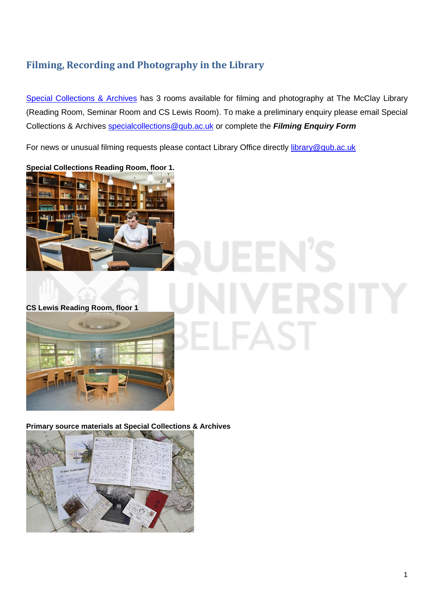# **Filming, Recording and Photography in the Library**

[Special Collections & Archives](https://www.qub.ac.uk/directorates/InformationServices/TheLibrary/SpecialCollections/) has 3 rooms available for filming and photography at The McClay Library (Reading Room, Seminar Room and CS Lewis Room). To make a preliminary enquiry please email Special Collections & Archives [specialcollections@qub.ac.uk](mailto:specialcollections@qub.ac.uk) or complete the *Filming Enquiry Form*

For news or unusual filming requests please contact Library Office directly [library@qub.ac.uk](mailto:library@qub.ac.uk)



**CS Lewis Reading Room, floor 1**



**Primary source materials at Special Collections & Archives**

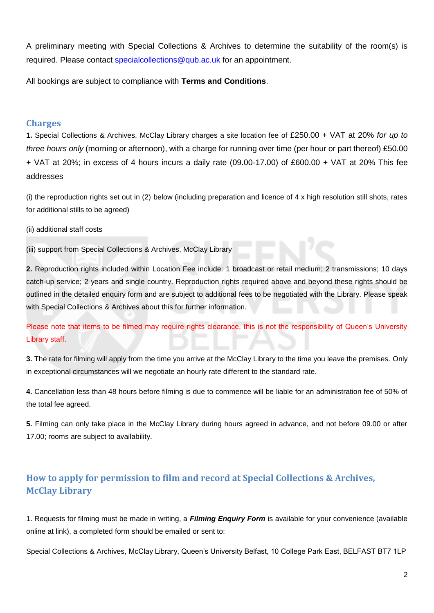A preliminary meeting with Special Collections & Archives to determine the suitability of the room(s) is required. Please contact [specialcollections@qub.ac.uk](mailto:specialcollections@qub.ac.uk) for an appointment.

All bookings are subject to compliance with **Terms and Conditions**.

#### **Charges**

**1.** Special Collections & Archives, McClay Library charges a site location fee of £250.00 + VAT at 20% *for up to three hours only* (morning or afternoon), with a charge for running over time (per hour or part thereof) £50.00 + VAT at 20%; in excess of 4 hours incurs a daily rate (09.00-17.00) of £600.00 + VAT at 20% This fee addresses

(i) the reproduction rights set out in (2) below (including preparation and licence of 4 x high resolution still shots, rates for additional stills to be agreed)

(ii) additional staff costs

(iii) support from Special Collections & Archives, McClay Library

**2.** Reproduction rights included within Location Fee include: 1 broadcast or retail medium; 2 transmissions; 10 days catch-up service; 2 years and single country. Reproduction rights required above and beyond these rights should be outlined in the detailed enquiry form and are subject to additional fees to be negotiated with the Library. Please speak with Special Collections & Archives about this for further information.

Please note that items to be filmed may require rights clearance, this is not the responsibility of Queen's University Library staff.

**3.** The rate for filming will apply from the time you arrive at the McClay Library to the time you leave the premises. Only in exceptional circumstances will we negotiate an hourly rate different to the standard rate.

**4.** Cancellation less than 48 hours before filming is due to commence will be liable for an administration fee of 50% of the total fee agreed.

**5.** Filming can only take place in the McClay Library during hours agreed in advance, and not before 09.00 or after 17.00; rooms are subject to availability.

## **How to apply for permission to film and record at Special Collections & Archives, McClay Library**

1. Requests for filming must be made in writing, a *Filming Enquiry Form* is available for your convenience (available online at link), a completed form should be emailed or sent to:

Special Collections & Archives, McClay Library, Queen's University Belfast, 10 College Park East, BELFAST BT7 1LP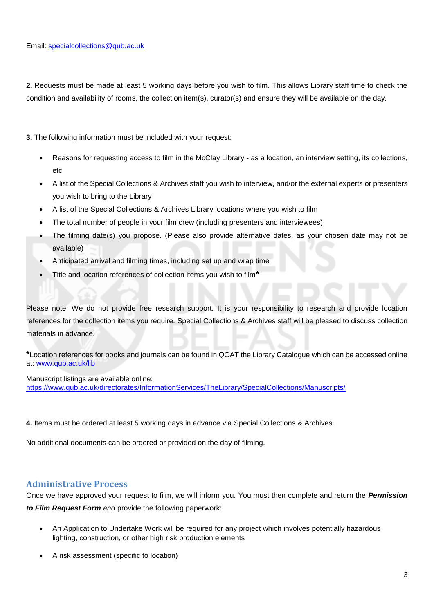**2.** Requests must be made at least 5 working days before you wish to film. This allows Library staff time to check the condition and availability of rooms, the collection item(s), curator(s) and ensure they will be available on the day.

**3.** The following information must be included with your request:

- Reasons for requesting access to film in the McClay Library as a location, an interview setting, its collections, etc
- A list of the Special Collections & Archives staff you wish to interview, and/or the external experts or presenters you wish to bring to the Library
- A list of the Special Collections & Archives Library locations where you wish to film
- The total number of people in your film crew (including presenters and interviewees)
- The filming date(s) you propose. (Please also provide alternative dates, as your chosen date may not be available)
- Anticipated arrival and filming times, including set up and wrap time
- Title and location references of collection items you wish to film**\***

Please note: We do not provide free research support. It is your responsibility to research and provide location references for the collection items you require. Special Collections & Archives staff will be pleased to discuss collection materials in advance.

**\***Location references for books and journals can be found in QCAT the Library Catalogue which can be accessed online at: [www.qub.ac.uk/lib](http://www.qub.ac.uk/lib)

Manuscript listings are available online:

<https://www.qub.ac.uk/directorates/InformationServices/TheLibrary/SpecialCollections/Manuscripts/>

**4.** Items must be ordered at least 5 working days in advance via Special Collections & Archives.

No additional documents can be ordered or provided on the day of filming.

#### **Administrative Process**

Once we have approved your request to film, we will inform you. You must then complete and return the *Permission to Film Request Form and* provide the following paperwork:

- An Application to Undertake Work will be required for any project which involves potentially hazardous lighting, construction, or other high risk production elements
- A risk assessment (specific to location)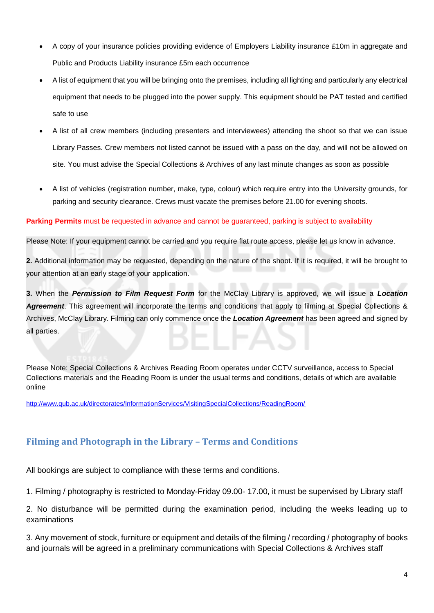- A copy of your insurance policies providing evidence of Employers Liability insurance £10m in aggregate and Public and Products Liability insurance £5m each occurrence
- A list of equipment that you will be bringing onto the premises, including all lighting and particularly any electrical equipment that needs to be plugged into the power supply. This equipment should be PAT tested and certified safe to use
- A list of all crew members (including presenters and interviewees) attending the shoot so that we can issue Library Passes. Crew members not listed cannot be issued with a pass on the day, and will not be allowed on site. You must advise the Special Collections & Archives of any last minute changes as soon as possible
- A list of vehicles (registration number, make, type, colour) which require entry into the University grounds, for parking and security clearance. Crews must vacate the premises before 21.00 for evening shoots.

#### **Parking Permits** must be requested in advance and cannot be guaranteed, parking is subject to availability

Please Note: If your equipment cannot be carried and you require flat route access, please let us know in advance.

**2.** Additional information may be requested, depending on the nature of the shoot. If it is required, it will be brought to your attention at an early stage of your application.

**3.** When the *Permission to Film Request Form* for the McClay Library is approved, we will issue a *Location Agreement*. This agreement will incorporate the terms and conditions that apply to filming at Special Collections & Archives, McClay Library. Filming can only commence once the *Location Agreement* has been agreed and signed by all parties.

Please Note: Special Collections & Archives Reading Room operates under CCTV surveillance, access to Special Collections materials and the Reading Room is under the usual terms and conditions, details of which are available online

[http://www.qub.ac.uk/directorates/InformationServices/VisitingSpecialCollections/ReadingRoom/](http://www.qub.ac.uk/directorates/InformationServices/TheLibrary/SpecialCollections/VisitingSpecialCollections/ReadingRoom/)

## **Filming and Photograph in the Library – Terms and Conditions**

All bookings are subject to compliance with these terms and conditions.

1. Filming / photography is restricted to Monday-Friday 09.00- 17.00, it must be supervised by Library staff

2. No disturbance will be permitted during the examination period, including the weeks leading up to examinations

3. Any movement of stock, furniture or equipment and details of the filming / recording / photography of books and journals will be agreed in a preliminary communications with Special Collections & Archives staff